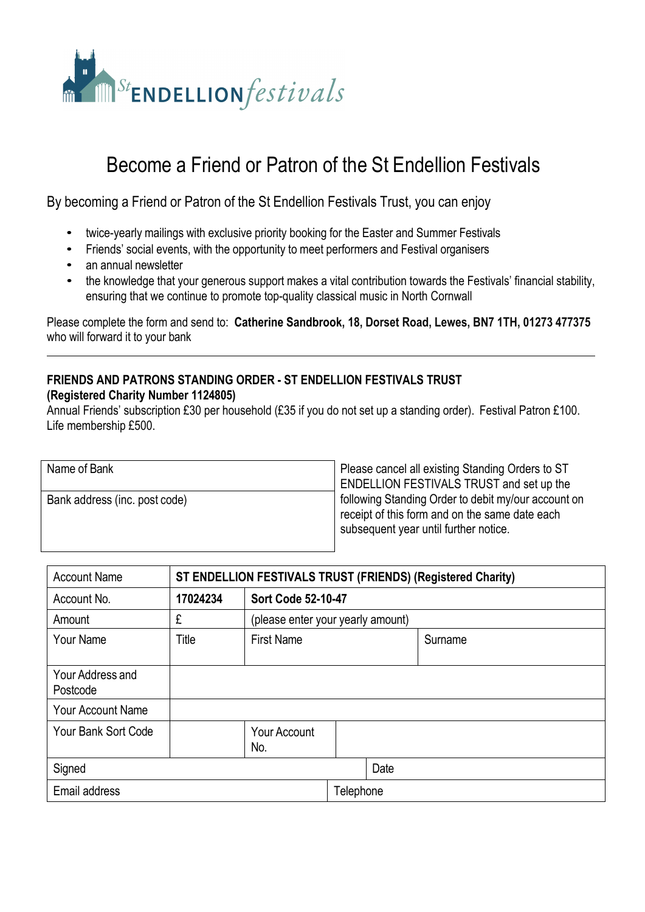

## Become a Friend or Patron of the St Endellion Festivals

By becoming a Friend or Patron of the St Endellion Festivals Trust, you can enjoy

- twice-yearly mailings with exclusive priority booking for the Easter and Summer Festivals
- Friends' social events, with the opportunity to meet performers and Festival organisers
- an annual newsletter
- the knowledge that your generous support makes a vital contribution towards the Festivals' financial stability, ensuring that we continue to promote top-quality classical music in North Cornwall

Please complete the form and send to: **Catherine Sandbrook, 18, Dorset Road, Lewes, BN7 1TH, 01273 477375** who will forward it to your bank

## **FRIENDS AND PATRONS STANDING ORDER - ST ENDELLION FESTIVALS TRUST (Registered Charity Number 1124805)**

Annual Friends' subscription £30 per household (£35 if you do not set up a standing order). Festival Patron £100. Life membership £500.

| Name of Bank                  |   |
|-------------------------------|---|
|                               |   |
| Bank address (inc. post code) |   |
|                               |   |
|                               | c |

Please cancel all existing Standing Orders to ST ENDELLION FESTIVALS TRUST and set up the following Standing Order to debit my/our account on receipt of this form and on the same date each subsequent year until further notice.

| <b>Account Name</b>          | ST ENDELLION FESTIVALS TRUST (FRIENDS) (Registered Charity) |                                   |           |      |         |  |
|------------------------------|-------------------------------------------------------------|-----------------------------------|-----------|------|---------|--|
| Account No.                  | 17024234                                                    | <b>Sort Code 52-10-47</b>         |           |      |         |  |
| Amount                       | £                                                           | (please enter your yearly amount) |           |      |         |  |
| Your Name                    | Title                                                       | <b>First Name</b>                 |           |      | Surname |  |
|                              |                                                             |                                   |           |      |         |  |
| Your Address and<br>Postcode |                                                             |                                   |           |      |         |  |
| <b>Your Account Name</b>     |                                                             |                                   |           |      |         |  |
| <b>Your Bank Sort Code</b>   |                                                             | <b>Your Account</b><br>No.        |           |      |         |  |
| Signed                       |                                                             |                                   |           | Date |         |  |
| Email address                |                                                             |                                   | Telephone |      |         |  |